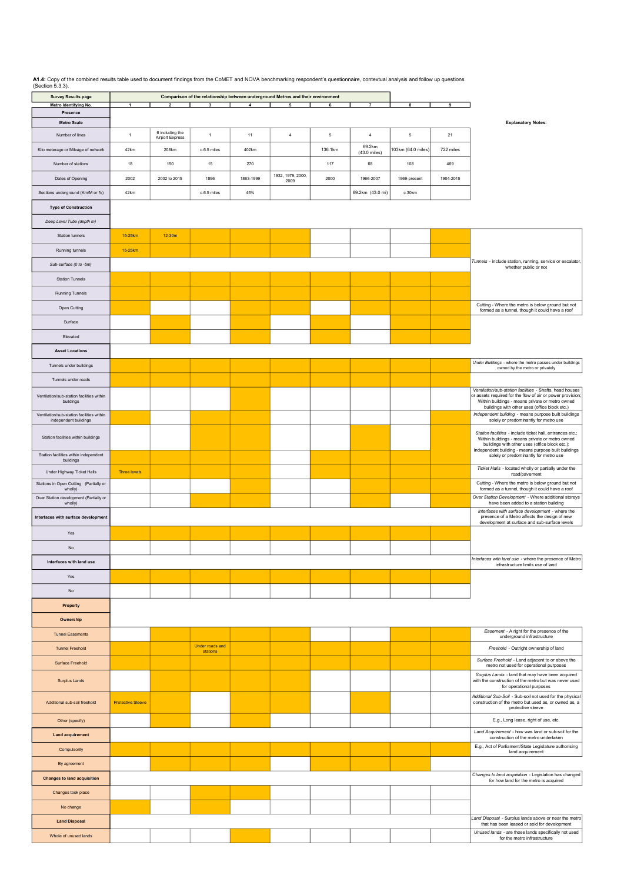**A1.4:** Copy of the combined results table used to document findings from the CoMET and NOVA benchmarking respondent's questionnaire, contextual analysis and follow up questions (Section 5.3.3).

| <b>Survey Results page</b><br>Metro Identifying No.                | $\mathbf{1}$             | $\overline{2}$                            | 3                           | 4         | Comparison of the relationship between underground Metros and their environment<br>5 | 6       | $\overline{7}$                   | 8                  | 9         |                                                                                                                                                                                                                            |
|--------------------------------------------------------------------|--------------------------|-------------------------------------------|-----------------------------|-----------|--------------------------------------------------------------------------------------|---------|----------------------------------|--------------------|-----------|----------------------------------------------------------------------------------------------------------------------------------------------------------------------------------------------------------------------------|
| Presence                                                           |                          |                                           |                             |           |                                                                                      |         |                                  |                    |           |                                                                                                                                                                                                                            |
| <b>Metro Scale</b>                                                 |                          |                                           |                             |           |                                                                                      |         |                                  |                    |           | <b>Explanatory Notes:</b>                                                                                                                                                                                                  |
| Number of lines                                                    | $\mathbf{1}$             | 6 including the<br><b>Airport Express</b> | $\overline{1}$              | 11        | $\overline{4}$                                                                       | 5       | $\overline{4}$                   | $5\phantom{.0}$    | 21        |                                                                                                                                                                                                                            |
| Kilo meterage or Mileage of network                                | 42km                     | 208km                                     | c.6.5 miles                 | 402km     |                                                                                      | 136.1km | 69.2km<br>$(43.0 \text{ miles})$ | 103km (64.0 miles) | 722 miles |                                                                                                                                                                                                                            |
| Number of stations                                                 | 18                       | 150                                       | 15                          | 270       |                                                                                      | 117     | 68                               | 108                | 469       |                                                                                                                                                                                                                            |
| Dates of Opening                                                   | 2002                     | 2002 to 2015                              | 1896                        | 1863-1999 | 1932, 1979, 2000,<br>2009                                                            | 2000    | 1966-2007                        | 1969-present       | 1904-2015 |                                                                                                                                                                                                                            |
| Sections underground (Km/M or %)                                   | 42km                     |                                           | c.6.5 miles                 | 45%       |                                                                                      |         | 69.2km (43.0 mi)                 | c.30km             |           |                                                                                                                                                                                                                            |
| <b>Type of Construction</b>                                        |                          |                                           |                             |           |                                                                                      |         |                                  |                    |           |                                                                                                                                                                                                                            |
| Deep Level Tube (depth m)                                          |                          |                                           |                             |           |                                                                                      |         |                                  |                    |           |                                                                                                                                                                                                                            |
| Station tunnels                                                    | 15-25km                  | $12-30m$                                  |                             |           |                                                                                      |         |                                  |                    |           |                                                                                                                                                                                                                            |
| Running tunnels                                                    | 15-25km                  |                                           |                             |           |                                                                                      |         |                                  |                    |           |                                                                                                                                                                                                                            |
| Sub-surface (0 to -5m)                                             |                          |                                           |                             |           |                                                                                      |         |                                  |                    |           | Tunnels - include station, running, service or escalator,<br>whether public or not                                                                                                                                         |
| <b>Station Tunnels</b>                                             |                          |                                           |                             |           |                                                                                      |         |                                  |                    |           |                                                                                                                                                                                                                            |
| <b>Running Tunnels</b>                                             |                          |                                           |                             |           |                                                                                      |         |                                  |                    |           |                                                                                                                                                                                                                            |
| Open Cutting                                                       |                          |                                           |                             |           |                                                                                      |         |                                  |                    |           | Cutting - Where the metro is below ground but not<br>formed as a tunnel, though it could have a roof                                                                                                                       |
| Surface                                                            |                          |                                           |                             |           |                                                                                      |         |                                  |                    |           |                                                                                                                                                                                                                            |
| Elevated                                                           |                          |                                           |                             |           |                                                                                      |         |                                  |                    |           |                                                                                                                                                                                                                            |
| <b>Asset Locations</b>                                             |                          |                                           |                             |           |                                                                                      |         |                                  |                    |           |                                                                                                                                                                                                                            |
| Tunnels under buildings                                            |                          |                                           |                             |           |                                                                                      |         |                                  |                    |           | Under Buildings - where the metro passes under buildings<br>owned by the metro or privately                                                                                                                                |
| Tunnels under roads                                                |                          |                                           |                             |           |                                                                                      |         |                                  |                    |           |                                                                                                                                                                                                                            |
| Ventilation/sub-station facilities within<br>buildings             |                          |                                           |                             |           |                                                                                      |         |                                  |                    |           | Ventilation/sub-station facilities - Shafts, head houses<br>or assets required for the flow of air or power provision;<br>Within buildings - means private or metro owned<br>buildings with other uses (office block etc.) |
| Ventilation/sub-station facilities within<br>independent buildings |                          |                                           |                             |           |                                                                                      |         |                                  |                    |           | Independent building - means purpose built buildings<br>solely or predominantly for metro use                                                                                                                              |
| Station facilities within buildings                                |                          |                                           |                             |           |                                                                                      |         |                                  |                    |           | Station facilities - include ticket hall, entrances etc.;<br>Within buildings - means private or metro owned<br>buildings with other uses (office block etc.);                                                             |
| Station facilities within independent<br>buildings                 |                          |                                           |                             |           |                                                                                      |         |                                  |                    |           | Independent building - means purpose built buildings<br>solely or predominantly for metro use                                                                                                                              |
| Under Highway Ticket Halls                                         | <b>Three levels</b>      |                                           |                             |           |                                                                                      |         |                                  |                    |           | Ticket Halls - located wholly or partially under the<br>road/pavement                                                                                                                                                      |
| Stations in Open Cutting (Partially or<br>wholly)                  |                          |                                           |                             |           |                                                                                      |         |                                  |                    |           | Cutting - Where the metro is below ground but not<br>formed as a tunnel, though it could have a roof                                                                                                                       |
| Over Station development (Partially or<br>wholly)                  |                          |                                           |                             |           |                                                                                      |         |                                  |                    |           | Over Station Development - Where additional storeys<br>have been added to a station building                                                                                                                               |
| Interfaces with surface development                                |                          |                                           |                             |           |                                                                                      |         |                                  |                    |           | Interfaces with surface development - where the<br>presence of a Metro affects the design of new<br>development at surface and sub-surface levels                                                                          |
| Yes                                                                |                          |                                           |                             |           |                                                                                      |         |                                  |                    |           |                                                                                                                                                                                                                            |
| No                                                                 |                          |                                           |                             |           |                                                                                      |         |                                  |                    |           | Interfaces with land use - where the presence of Metro                                                                                                                                                                     |
| Interfaces with land use                                           |                          |                                           |                             |           |                                                                                      |         |                                  |                    |           | infrastructure limits use of land                                                                                                                                                                                          |
| Yes                                                                |                          |                                           |                             |           |                                                                                      |         |                                  |                    |           |                                                                                                                                                                                                                            |
| No                                                                 |                          |                                           |                             |           |                                                                                      |         |                                  |                    |           |                                                                                                                                                                                                                            |
| <b>Property</b>                                                    |                          |                                           |                             |           |                                                                                      |         |                                  |                    |           |                                                                                                                                                                                                                            |
| Ownership                                                          |                          |                                           |                             |           |                                                                                      |         |                                  |                    |           |                                                                                                                                                                                                                            |
| <b>Tunnel Easements</b>                                            |                          |                                           |                             |           |                                                                                      |         |                                  |                    |           | Easement - A right for the presence of the<br>underground infrastructure                                                                                                                                                   |
| <b>Tunnel Freehold</b>                                             |                          |                                           | Under roads and<br>stations |           |                                                                                      |         |                                  |                    |           | Freehold - Outright ownership of land                                                                                                                                                                                      |
| <b>Surface Freehold</b>                                            |                          |                                           |                             |           |                                                                                      |         |                                  |                    |           | Surface Freehold - Land adjacent to or above the<br>metro not used for operational purposes                                                                                                                                |
| <b>Surplus Lands</b>                                               |                          |                                           |                             |           |                                                                                      |         |                                  |                    |           | Surplus Lands - land that may have been acquired<br>with the construction of the metro but was never used<br>for operational purposes                                                                                      |
| Additional sub-soil freehold                                       | <b>Protective Sleeve</b> |                                           |                             |           |                                                                                      |         |                                  |                    |           | Additional Sub-Soil - Sub-soil not used for the physical<br>construction of the metro but used as, or owned as, a<br>protective sleeve                                                                                     |
| Other (specify)                                                    |                          |                                           |                             |           |                                                                                      |         |                                  |                    |           | E.g., Long lease, right of use, etc.                                                                                                                                                                                       |
| <b>Land acquirement</b>                                            |                          |                                           |                             |           |                                                                                      |         |                                  |                    |           | Land Acquirement - how was land or sub-soil for the<br>construction of the metro undertaken                                                                                                                                |
| Compulsorily                                                       |                          |                                           |                             |           |                                                                                      |         |                                  |                    |           | E.g., Act of Parliament/State Legislature authorising<br>land acquirement                                                                                                                                                  |
| By agreement                                                       |                          |                                           |                             |           |                                                                                      |         |                                  |                    |           |                                                                                                                                                                                                                            |
| <b>Changes to land acquisition</b>                                 |                          |                                           |                             |           |                                                                                      |         |                                  |                    |           | Changes to land acquisition - Legislation has changed<br>for how land for the metro is acquired                                                                                                                            |
| Changes took place                                                 |                          |                                           |                             |           |                                                                                      |         |                                  |                    |           |                                                                                                                                                                                                                            |
| No change                                                          |                          |                                           |                             |           |                                                                                      |         |                                  |                    |           |                                                                                                                                                                                                                            |
| <b>Land Disposal</b>                                               |                          |                                           |                             |           |                                                                                      |         |                                  |                    |           | Land Disposal - Surplus lands above or near the metro<br>that has been leased or sold for development                                                                                                                      |
| Whole of unused lands                                              |                          |                                           |                             |           |                                                                                      |         |                                  |                    |           | Unused lands - are those lands specifically not used<br>for the metro infrastructure                                                                                                                                       |